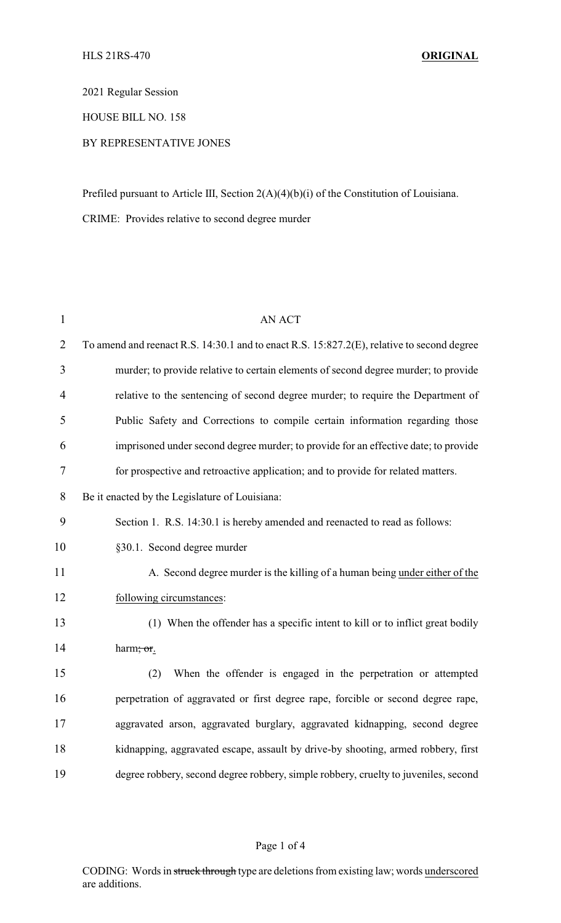2021 Regular Session

HOUSE BILL NO. 158

## BY REPRESENTATIVE JONES

Prefiled pursuant to Article III, Section 2(A)(4)(b)(i) of the Constitution of Louisiana.

CRIME: Provides relative to second degree murder

| $\mathbf{1}$   | <b>AN ACT</b>                                                                              |
|----------------|--------------------------------------------------------------------------------------------|
| $\overline{2}$ | To amend and reenact R.S. 14:30.1 and to enact R.S. 15:827.2(E), relative to second degree |
| 3              | murder; to provide relative to certain elements of second degree murder; to provide        |
| $\overline{4}$ | relative to the sentencing of second degree murder; to require the Department of           |
| 5              | Public Safety and Corrections to compile certain information regarding those               |
| 6              | imprisoned under second degree murder; to provide for an effective date; to provide        |
| 7              | for prospective and retroactive application; and to provide for related matters.           |
| 8              | Be it enacted by the Legislature of Louisiana:                                             |
| 9              | Section 1. R.S. 14:30.1 is hereby amended and reenacted to read as follows:                |
| 10             | §30.1. Second degree murder                                                                |
| 11             | A. Second degree murder is the killing of a human being under either of the                |
| 12             | following circumstances:                                                                   |
| 13             | (1) When the offender has a specific intent to kill or to inflict great bodily             |
| 14             | harm <del>; or</del> .                                                                     |
| 15             | When the offender is engaged in the perpetration or attempted<br>(2)                       |
| 16             | perpetration of aggravated or first degree rape, forcible or second degree rape,           |
| 17             | aggravated arson, aggravated burglary, aggravated kidnapping, second degree                |
| 18             | kidnapping, aggravated escape, assault by drive-by shooting, armed robbery, first          |
| 19             | degree robbery, second degree robbery, simple robbery, cruelty to juveniles, second        |

Page 1 of 4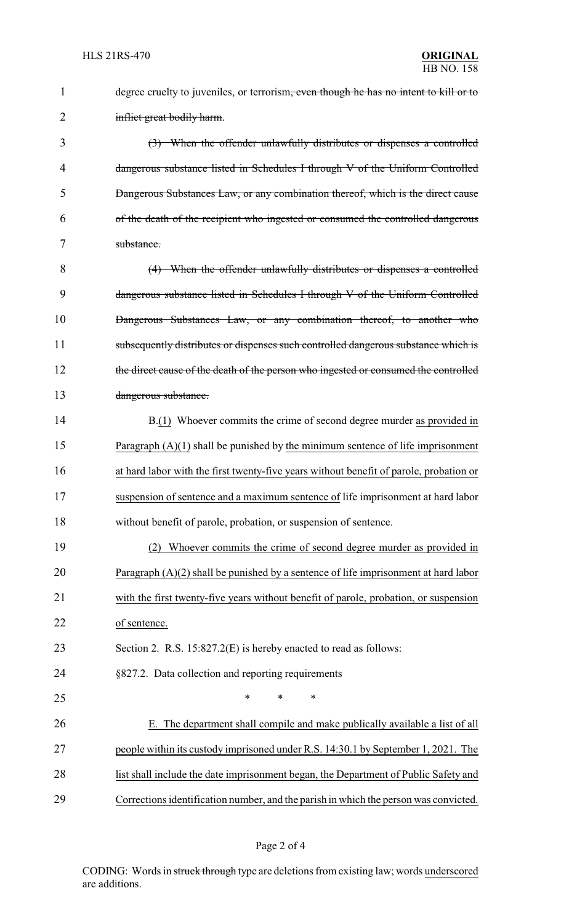| 1  | degree cruelty to juveniles, or terrorism, even though he has no intent to kill or to  |
|----|----------------------------------------------------------------------------------------|
| 2  | inflict great bodily harm.                                                             |
| 3  | (3) When the offender unlawfully distributes or dispenses a controlled                 |
| 4  | dangerous substance listed in Schedules I through V of the Uniform Controlled          |
| 5  | Dangerous Substances Law, or any combination thereof, which is the direct cause        |
| 6  | of the death of the recipient who ingested or consumed the controlled dangerous        |
| 7  | substance.                                                                             |
| 8  | (4) When the offender unlawfully distributes or dispenses a controlled                 |
| 9  | dangerous substance listed in Schedules I through V of the Uniform Controlled          |
| 10 | Dangerous Substances Law, or any combination thereof, to another who                   |
| 11 | subsequently distributes or dispenses such controlled dangerous substance which is     |
| 12 | the direct cause of the death of the person who ingested or consumed the controlled    |
| 13 | dangerous substance.                                                                   |
| 14 | B.(1) Whoever commits the crime of second degree murder as provided in                 |
| 15 | Paragraph $(A)(1)$ shall be punished by the minimum sentence of life imprisonment      |
| 16 | at hard labor with the first twenty-five years without benefit of parole, probation or |
| 17 | suspension of sentence and a maximum sentence of life imprisonment at hard labor       |
| 18 | without benefit of parole, probation, or suspension of sentence.                       |
| 19 | Whoever commits the crime of second degree murder as provided in<br>(2)                |
| 20 | Paragraph $(A)(2)$ shall be punished by a sentence of life imprisonment at hard labor  |
| 21 | with the first twenty-five years without benefit of parole, probation, or suspension   |
| 22 | of sentence.                                                                           |
| 23 | Section 2. R.S. 15:827.2(E) is hereby enacted to read as follows:                      |
| 24 | §827.2. Data collection and reporting requirements                                     |
| 25 | $\ast$<br>*<br>*                                                                       |
| 26 | E. The department shall compile and make publically available a list of all            |
| 27 | people within its custody imprisoned under R.S. 14:30.1 by September 1, 2021. The      |
| 28 | list shall include the date imprisonment began, the Department of Public Safety and    |
| 29 | Corrections identification number, and the parish in which the person was convicted.   |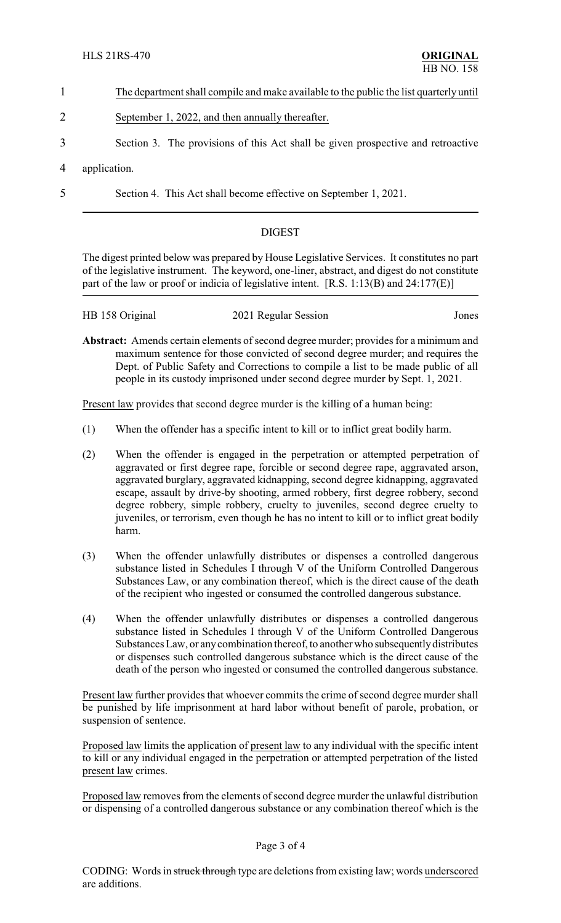- 1 The department shall compile and make available to the public the list quarterly until
- 2 September 1, 2022, and then annually thereafter.
- 3 Section 3. The provisions of this Act shall be given prospective and retroactive
- 4 application.
- 

5 Section 4. This Act shall become effective on September 1, 2021.

## DIGEST

The digest printed below was prepared by House Legislative Services. It constitutes no part of the legislative instrument. The keyword, one-liner, abstract, and digest do not constitute part of the law or proof or indicia of legislative intent. [R.S. 1:13(B) and 24:177(E)]

| HB 158 Original | 2021 Regular Session | Jones |
|-----------------|----------------------|-------|
|                 |                      |       |

**Abstract:** Amends certain elements of second degree murder; provides for a minimum and maximum sentence for those convicted of second degree murder; and requires the Dept. of Public Safety and Corrections to compile a list to be made public of all people in its custody imprisoned under second degree murder by Sept. 1, 2021.

Present law provides that second degree murder is the killing of a human being:

- (1) When the offender has a specific intent to kill or to inflict great bodily harm.
- (2) When the offender is engaged in the perpetration or attempted perpetration of aggravated or first degree rape, forcible or second degree rape, aggravated arson, aggravated burglary, aggravated kidnapping, second degree kidnapping, aggravated escape, assault by drive-by shooting, armed robbery, first degree robbery, second degree robbery, simple robbery, cruelty to juveniles, second degree cruelty to juveniles, or terrorism, even though he has no intent to kill or to inflict great bodily harm.
- (3) When the offender unlawfully distributes or dispenses a controlled dangerous substance listed in Schedules I through V of the Uniform Controlled Dangerous Substances Law, or any combination thereof, which is the direct cause of the death of the recipient who ingested or consumed the controlled dangerous substance.
- (4) When the offender unlawfully distributes or dispenses a controlled dangerous substance listed in Schedules I through V of the Uniform Controlled Dangerous Substances Law, or any combination thereof, to another who subsequently distributes or dispenses such controlled dangerous substance which is the direct cause of the death of the person who ingested or consumed the controlled dangerous substance.

Present law further provides that whoever commits the crime of second degree murder shall be punished by life imprisonment at hard labor without benefit of parole, probation, or suspension of sentence.

Proposed law limits the application of present law to any individual with the specific intent to kill or any individual engaged in the perpetration or attempted perpetration of the listed present law crimes.

Proposed law removes from the elements of second degree murder the unlawful distribution or dispensing of a controlled dangerous substance or any combination thereof which is the